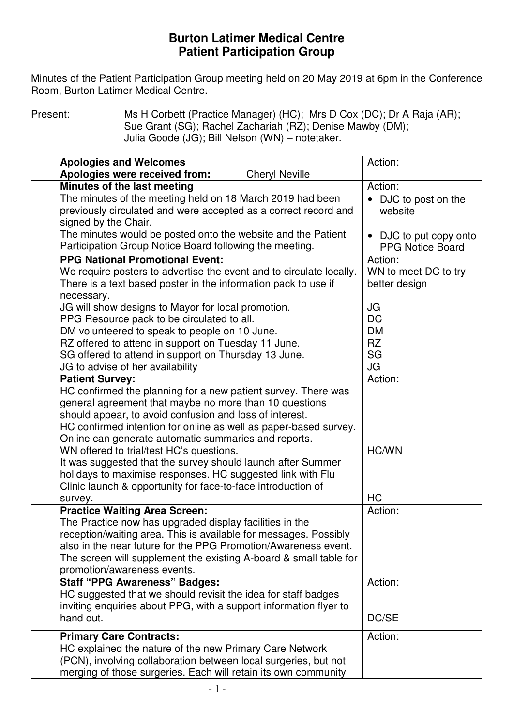## **Burton Latimer Medical Centre Patient Participation Group**

 Minutes of the Patient Participation Group meeting held on 20 May 2019 at 6pm in the Conference Room, Burton Latimer Medical Centre.

Present: Ms H Corbett (Practice Manager) (HC); Mrs D Cox (DC); Dr A Raja (AR); Sue Grant (SG); Rachel Zachariah (RZ); Denise Mawby (DM); Julia Goode (JG); Bill Nelson (WN) – notetaker.

| <b>Apologies and Welcomes</b>                                       | Action:                 |
|---------------------------------------------------------------------|-------------------------|
| Apologies were received from:<br><b>Cheryl Neville</b>              |                         |
| Minutes of the last meeting                                         | Action:                 |
| The minutes of the meeting held on 18 March 2019 had been           | • DJC to post on the    |
| previously circulated and were accepted as a correct record and     | website                 |
| signed by the Chair.                                                |                         |
| The minutes would be posted onto the website and the Patient        | • DJC to put copy onto  |
| Participation Group Notice Board following the meeting.             | <b>PPG Notice Board</b> |
| <b>PPG National Promotional Event:</b>                              | Action:                 |
| We require posters to advertise the event and to circulate locally. | WN to meet DC to try    |
| There is a text based poster in the information pack to use if      | better design           |
| necessary.                                                          |                         |
| JG will show designs to Mayor for local promotion.                  | JG                      |
| PPG Resource pack to be circulated to all.                          | <b>DC</b>               |
| DM volunteered to speak to people on 10 June.                       | <b>DM</b>               |
| RZ offered to attend in support on Tuesday 11 June.                 | <b>RZ</b>               |
| SG offered to attend in support on Thursday 13 June.                | SG                      |
| JG to advise of her availability                                    | JG                      |
| <b>Patient Survey:</b>                                              | Action:                 |
| HC confirmed the planning for a new patient survey. There was       |                         |
| general agreement that maybe no more than 10 questions              |                         |
| should appear, to avoid confusion and loss of interest.             |                         |
| HC confirmed intention for online as well as paper-based survey.    |                         |
| Online can generate automatic summaries and reports.                |                         |
| WN offered to trial/test HC's questions.                            | HC/WN                   |
| It was suggested that the survey should launch after Summer         |                         |
| holidays to maximise responses. HC suggested link with Flu          |                         |
| Clinic launch & opportunity for face-to-face introduction of        |                         |
| survey.                                                             | HC                      |
| <b>Practice Waiting Area Screen:</b>                                | Action:                 |
| The Practice now has upgraded display facilities in the             |                         |
| reception/waiting area. This is available for messages. Possibly    |                         |
| also in the near future for the PPG Promotion/Awareness event.      |                         |
| The screen will supplement the existing A-board & small table for   |                         |
| promotion/awareness events.                                         |                         |
| <b>Staff "PPG Awareness" Badges:</b>                                | Action:                 |
| HC suggested that we should revisit the idea for staff badges       |                         |
| inviting enquiries about PPG, with a support information flyer to   |                         |
| hand out.                                                           | DC/SE                   |
|                                                                     |                         |
| <b>Primary Care Contracts:</b>                                      | Action:                 |
| HC explained the nature of the new Primary Care Network             |                         |
| (PCN), involving collaboration between local surgeries, but not     |                         |
| merging of those surgeries. Each will retain its own community      |                         |